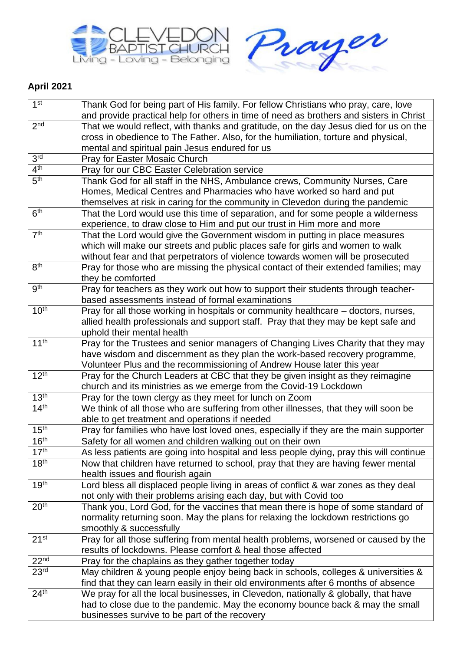



## **April 2021**

| 1 <sup>st</sup>  | Thank God for being part of His family. For fellow Christians who pray, care, love                                                    |
|------------------|---------------------------------------------------------------------------------------------------------------------------------------|
|                  | and provide practical help for others in time of need as brothers and sisters in Christ                                               |
| 2 <sup>nd</sup>  | That we would reflect, with thanks and gratitude, on the day Jesus died for us on the                                                 |
|                  | cross in obedience to The Father. Also, for the humiliation, torture and physical,                                                    |
|                  | mental and spiritual pain Jesus endured for us                                                                                        |
| 3 <sup>rd</sup>  | Pray for Easter Mosaic Church                                                                                                         |
| 4 <sup>th</sup>  | Pray for our CBC Easter Celebration service                                                                                           |
| 5 <sup>th</sup>  | Thank God for all staff in the NHS, Ambulance crews, Community Nurses, Care                                                           |
|                  | Homes, Medical Centres and Pharmacies who have worked so hard and put                                                                 |
|                  | themselves at risk in caring for the community in Clevedon during the pandemic                                                        |
| 6 <sup>th</sup>  | That the Lord would use this time of separation, and for some people a wilderness                                                     |
|                  | experience, to draw close to Him and put our trust in Him more and more                                                               |
| 7 <sup>th</sup>  | That the Lord would give the Government wisdom in putting in place measures                                                           |
|                  | which will make our streets and public places safe for girls and women to walk                                                        |
|                  | without fear and that perpetrators of violence towards women will be prosecuted                                                       |
| 8 <sup>th</sup>  | Pray for those who are missing the physical contact of their extended families; may                                                   |
| 9 <sup>th</sup>  | they be comforted                                                                                                                     |
|                  | Pray for teachers as they work out how to support their students through teacher-<br>based assessments instead of formal examinations |
| 10 <sup>th</sup> | Pray for all those working in hospitals or community healthcare – doctors, nurses,                                                    |
|                  | allied health professionals and support staff. Pray that they may be kept safe and                                                    |
|                  | uphold their mental health                                                                                                            |
| 11 <sup>th</sup> | Pray for the Trustees and senior managers of Changing Lives Charity that they may                                                     |
|                  | have wisdom and discernment as they plan the work-based recovery programme,                                                           |
|                  | Volunteer Plus and the recommissioning of Andrew House later this year                                                                |
| 12 <sup>th</sup> | Pray for the Church Leaders at CBC that they be given insight as they reimagine                                                       |
|                  | church and its ministries as we emerge from the Covid-19 Lockdown                                                                     |
| 13 <sup>th</sup> | Pray for the town clergy as they meet for lunch on Zoom                                                                               |
| 14 <sup>th</sup> | We think of all those who are suffering from other illnesses, that they will soon be                                                  |
|                  | able to get treatment and operations if needed                                                                                        |
| 15 <sup>th</sup> | Pray for families who have lost loved ones, especially if they are the main supporter                                                 |
| 16 <sup>th</sup> | Safety for all women and children walking out on their own                                                                            |
| 17 <sup>th</sup> | As less patients are going into hospital and less people dying, pray this will continue                                               |
| 18 <sup>th</sup> | Now that children have returned to school, pray that they are having fewer mental                                                     |
|                  | health issues and flourish again                                                                                                      |
| 19 <sup>th</sup> | Lord bless all displaced people living in areas of conflict & war zones as they deal                                                  |
|                  | not only with their problems arising each day, but with Covid too                                                                     |
| 20 <sup>th</sup> | Thank you, Lord God, for the vaccines that mean there is hope of some standard of                                                     |
|                  | normality returning soon. May the plans for relaxing the lockdown restrictions go                                                     |
|                  | smoothly & successfully                                                                                                               |
| 21 <sup>st</sup> | Pray for all those suffering from mental health problems, worsened or caused by the                                                   |
|                  | results of lockdowns. Please comfort & heal those affected                                                                            |
| 22 <sup>nd</sup> | Pray for the chaplains as they gather together today                                                                                  |
| 23 <sup>rd</sup> | May children & young people enjoy being back in schools, colleges & universities &                                                    |
|                  | find that they can learn easily in their old environments after 6 months of absence                                                   |
| 24 <sup>th</sup> | We pray for all the local businesses, in Clevedon, nationally & globally, that have                                                   |
|                  | had to close due to the pandemic. May the economy bounce back & may the small                                                         |
|                  | businesses survive to be part of the recovery                                                                                         |